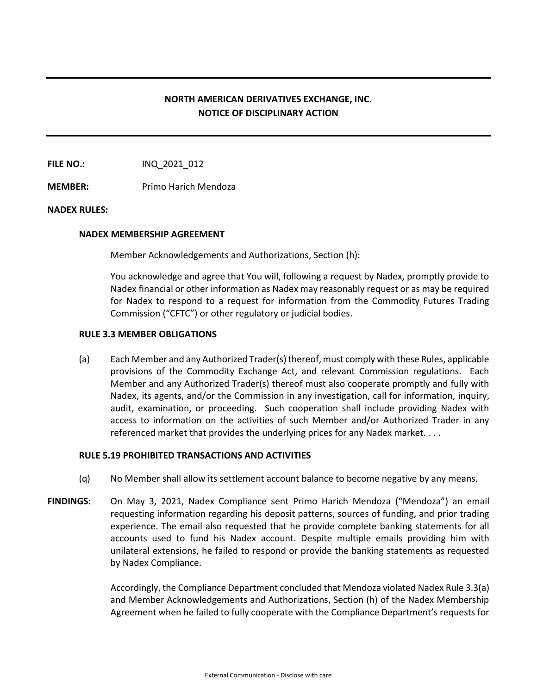# **NORTH AMERICAN DERIVATIVES EXCHANGE, INC. NOTICE OF DISCIPLINARY ACTION**

**FILE NO.:** INQ 2021 012

**MEMBER:** Primo Harich Mendoza

## **NADEX RULES:**

## **NADEX MEMBERSHIP AGREEMENT**

Member Acknowledgements and Authorizations, Section (h):

You acknowledge and agree that You will, following a request by Nadex, promptly provide to Nadex financial or other information as Nadex may reasonably request or as may be required for Nadex to respond to a request for information from the Commodity Futures Trading Commission ("CFTC") or other regulatory or judicial bodies.

## **RULE 3.3 MEMBER OBLIGATIONS**

(a) Each Member and any Authorized Trader(s) thereof, must comply with these Rules, applicable provisions of the Commodity Exchange Act, and relevant Commission regulations. Each Member and any Authorized Trader(s) thereof must also cooperate promptly and fully with Nadex, its agents, and/or the Commission in any investigation, call for information, inquiry, audit, examination, or proceeding. Such cooperation shall include providing Nadex with access to information on the activities of such Member and/or Authorized Trader in any referenced market that provides the underlying prices for any Nadex market. . . .

## **RULE 5.19 PROHIBITED TRANSACTIONS AND ACTIVITIES**

- (q) No Member shall allow its settlement account balance to become negative by any means.
- **FINDINGS:** On May 3, 2021, Nadex Compliance sent Primo Harich Mendoza ("Mendoza") an email requesting information regarding his deposit patterns, sources of funding, and prior trading experience. The email also requested that he provide complete banking statements for all accounts used to fund his Nadex account. Despite multiple emails providing him with unilateral extensions, he failed to respond or provide the banking statements as requested by Nadex Compliance.

Accordingly, the Compliance Department concluded that Mendoza violated Nadex Rule 3.3(a) and Member Acknowledgements and Authorizations, Section (h) of the Nadex Membership Agreement when he failed to fully cooperate with the Compliance Department's requests for